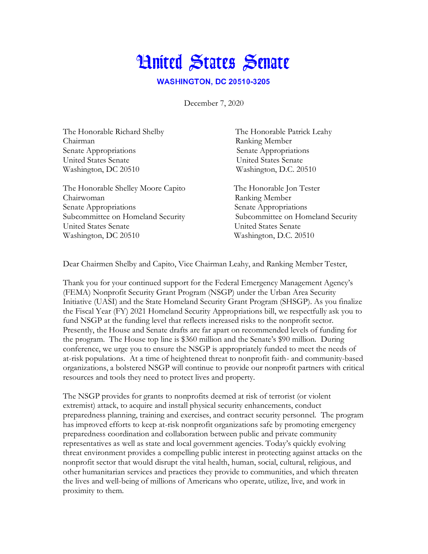## **Hnited States Senate**

**WASHINGTON, DC 20510-3205** 

December 7, 2020

| The Honorable Richard Shelby       | The Honorable Patrick Leahy       |
|------------------------------------|-----------------------------------|
| Chairman                           | Ranking Member                    |
| Senate Appropriations              | Senate Appropriations             |
| United States Senate               | United States Senate              |
| Washington, DC 20510               | Washington, D.C. 20510            |
| The Honorable Shelley Moore Capito | The Honorable Jon Tester          |
| Chairwoman                         | Ranking Member                    |
| Senate Appropriations              | Senate Appropriations             |
| Subcommittee on Homeland Security  | Subcommittee on Homeland Security |
| United States Senate               | United States Senate              |
| Washington, DC 20510               | Washington, D.C. 20510            |

Dear Chairmen Shelby and Capito, Vice Chairman Leahy, and Ranking Member Tester,

Thank you for your continued support for the Federal Emergency Management Agency's (FEMA) Nonprofit Security Grant Program (NSGP) under the Urban Area Security Initiative (UASI) and the State Homeland Security Grant Program (SHSGP). As you finalize the Fiscal Year (FY) 2021 Homeland Security Appropriations bill, we respectfully ask you to fund NSGP at the funding level that reflects increased risks to the nonprofit sector. Presently, the House and Senate drafts are far apart on recommended levels of funding for the program. The House top line is \$360 million and the Senate's \$90 million. During conference, we urge you to ensure the NSGP is appropriately funded to meet the needs of at-risk populations. At a time of heightened threat to nonprofit faith- and community-based organizations, a bolstered NSGP will continue to provide our nonprofit partners with critical resources and tools they need to protect lives and property.

The NSGP provides for grants to nonprofits deemed at risk of terrorist (or violent extremist) attack, to acquire and install physical security enhancements, conduct preparedness planning, training and exercises, and contract security personnel. The program has improved efforts to keep at-risk nonprofit organizations safe by promoting emergency preparedness coordination and collaboration between public and private community representatives as well as state and local government agencies. Today's quickly evolving threat environment provides a compelling public interest in protecting against attacks on the nonprofit sector that would disrupt the vital health, human, social, cultural, religious, and other humanitarian services and practices they provide to communities, and which threaten the lives and well-being of millions of Americans who operate, utilize, live, and work in proximity to them.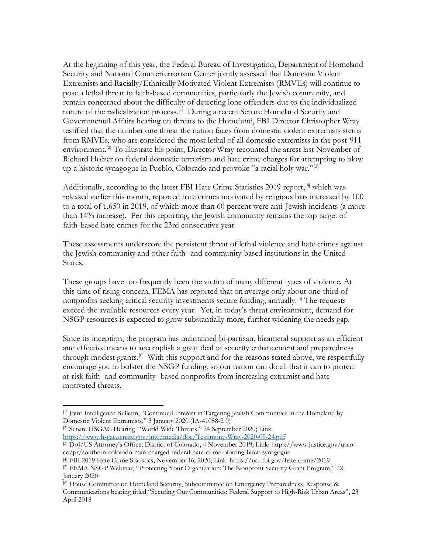At the beginning of this year, the Federal Bureau of Investigation, Department of Homeland Security and National Counterterrorism Center jointly assessed that Domestic Violent Extremists and Racially/Ethnically Motivated Violent Extremists (RMVEs) will continue to pose a lethal threat to faith-based communities, particularly the Jewish community, and remain concerned about the difficulty of detecting lone offenders due to the individualized nature of the radicalization process.<sup>[1]</sup> During a recent Senate Homeland Security and Governmental Affairs hearing on threats to the Homeland, FBI Director Christopher Wray testified that the number one threat the nation faces from domestic violent extremists stems from RMVEs, who are considered the most lethal of all domestic extremists in the post-911 environment.<sup>[2]</sup> To illustrate his point, Director Wray recounted the arrest last November of Richard Holzer on federal domestic terrorism and hate crime charges for attempting to blow up a historic synagogue in Pueblo, Colorado and provoke "a racial holy war."<sup>[3]</sup>

Additionally, according to the latest FBI Hate Crime Statistics 2019 report,<sup>[4]</sup> which was released earlier this month, reported hate crimes motivated by religious bias increased by 100 to a total of 1,650 in 2019, of which more than 60 percent were anti-Jewish incidents (a more than 14% increase). Per this reporting, the Jewish community remains the top target of faith-based hate crimes for the 23rd consecutive year.

These assessments underscore the persistent threat of lethal violence and hate crimes against the Jewish community and other faith- and community-based institutions in the United States.

These groups have too frequently been the victim of many different types of violence. At this time of rising concern, FEMA has reported that on average only about one-third of nonprofits seeking critical security investments secure funding, annually.<sup>[5]</sup> The requests exceed the available resources every year. Yet, in today's threat environment, demand for NSGP resources is expected to grow substantially more, further widening the needs gap.

Since its inception, the program has maintained bi-partisan, bicameral support as an efficient and effective means to accomplish a great deal of security enhancement and preparedness through modest grants.<sup>[6]</sup> With this support and for the reasons stated above, we respectfully encourage you to bolster the NSGP funding, so our nation can do all that it can to protect at-risk faith- and community- based nonprofits from increasing extremist and hatemotivated threats.

[2] Senate HSGAC Hearing, "World Wide Threats," 24 September 2020; Link: <https://www.hsgac.senate.gov/imo/media/doc/Testimony-Wray-2020-09-24.pdf>

<sup>[1]</sup> Joint Intelligence Bulletin, "Continued Interest in Targeting Jewish Communities in the Homeland by Domestic Violent Extremists," 3 January 2020 (IA-41058-2 0)

<sup>[3]</sup> DoJ/US Attorney's Office, District of Colorado, 4 November 2019; Link: https://www.justice.gov/usaoco/pr/southern-colorado-man-charged-federal-hate-crime-plotting-blow-synagogue

<sup>[4]</sup> FBI 2019 Hate Crime Statistics, November 16, 2020; Link: https://ucr.fbi.gov/hate-crime/2019

<sup>[5]</sup> FEMA NSGP Webinar, "Protecting Your Organization: The Nonprofit Security Grant Program," 22 January 2020

<sup>[6]</sup> House Committee on Homeland Security, Subcommittee on Emergency Preparedness, Response & Communications hearing titled "Securing Our Communities: Federal Support to High-Risk Urban Areas", 23 April 2018